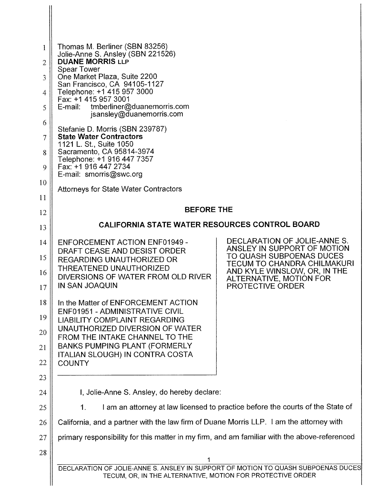| 1                   | Thomas M. Berliner (SBN 83256)<br>Jolie-Anne S. Ansley (SBN 221526)                                                                             |                                                                |
|---------------------|-------------------------------------------------------------------------------------------------------------------------------------------------|----------------------------------------------------------------|
| $\overline{2}$      | <b>DUANE MORRIS LLP</b><br><b>Spear Tower</b>                                                                                                   |                                                                |
| 3                   | One Market Plaza, Suite 2200<br>San Francisco, CA 94105-1127                                                                                    |                                                                |
| 4                   | Telephone: +1 415 957 3000<br>Fax: +1 415 957 3001                                                                                              |                                                                |
| 5                   | tmberliner@duanemorris.com<br>E-mail:<br>jsansley@duanemorris.com                                                                               |                                                                |
| 6<br>$\overline{7}$ | Stefanie D. Morris (SBN 239787)<br><b>State Water Contractors</b>                                                                               |                                                                |
| 8                   | 1121 L. St., Suite 1050<br>Sacramento, CA 95814-3974                                                                                            |                                                                |
| 9                   | Telephone: +1 916 447 7357<br>Fax: +1 916 447 2734                                                                                              |                                                                |
| 10                  | E-mail: smorris@swc.org<br><b>Attorneys for State Water Contractors</b>                                                                         |                                                                |
| 11                  |                                                                                                                                                 |                                                                |
| 12                  | <b>BEFORE THE</b>                                                                                                                               |                                                                |
| 13                  | <b>CALIFORNIA STATE WATER RESOURCES CONTROL BOARD</b>                                                                                           |                                                                |
| 14                  | ENFORCEMENT ACTION ENF01949 -<br>DRAFT CEASE AND DESIST ORDER                                                                                   | DECLARATION OF JOLIE-ANNE S.<br>ANSLEY IN SUPPORT OF MOTION    |
| 15                  | REGARDING UNAUTHORIZED OR<br>THREATENED UNAUTHORIZED                                                                                            | TO QUASH SUBPOENAS DUCES<br><b>TECUM TO CHANDRA CHILMAKURI</b> |
| 16                  | DIVERSIONS OF WATER FROM OLD RIVER                                                                                                              | AND KYLE WINSLOW, OR, IN THE<br>ALTERNATIVE, MOTION FOR        |
| 17                  | IN SAN JOAQUIN                                                                                                                                  | PROTECTIVE ORDER                                               |
| 18                  | In the Matter of ENFORCEMENT ACTION<br>ENF01951 - ADMINISTRATIVE CIVIL                                                                          |                                                                |
| 19<br>20            | <b>LIABILITY COMPLAINT REGARDING</b><br>UNAUTHORIZED DIVERSION OF WATER                                                                         |                                                                |
| 21                  | FROM THE INTAKE CHANNEL TO THE<br><b>BANKS PUMPING PLANT (FORMERLY</b>                                                                          |                                                                |
| 22                  | <b>ITALIAN SLOUGH) IN CONTRA COSTA</b><br><b>COUNTY</b>                                                                                         |                                                                |
| 23                  |                                                                                                                                                 |                                                                |
| 24                  | I, Jolie-Anne S. Ansley, do hereby declare:                                                                                                     |                                                                |
| 25                  | I am an attorney at law licensed to practice before the courts of the State of<br>1.                                                            |                                                                |
| 26                  | California, and a partner with the law firm of Duane Morris LLP. I am the attorney with                                                         |                                                                |
| 27                  | primary responsibility for this matter in my firm, and am familiar with the above-referenced                                                    |                                                                |
| 28                  | 1                                                                                                                                               |                                                                |
|                     | DECLARATION OF JOLIE-ANNE S. ANSLEY IN SUPPORT OF MOTION TO QUASH SUBPOENAS DUCES<br>TECUM, OR, IN THE ALTERNATIVE, MOTION FOR PROTECTIVE ORDER |                                                                |